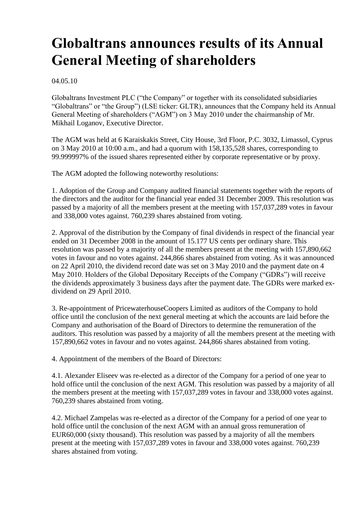# **Globaltrans announces results of its Annual General Meeting of shareholders**

04.05.10

Globaltrans Investment PLC ("the Company" or together with its consolidated subsidiaries "Globaltrans" or "the Group") (LSE ticker: GLTR), announces that the Company held its Annual General Meeting of shareholders ("AGM") on 3 May 2010 under the chairmanship of Mr. Mikhail Loganov, Executive Director.

The AGM was held at 6 Karaiskakis Street, City House, 3rd Floor, P.C. 3032, Limassol, Cyprus on 3 May 2010 at 10:00 a.m., and had a quorum with 158,135,528 shares, corresponding to 99.999997% of the issued shares represented either by corporate representative or by proxy.

The AGM adopted the following noteworthy resolutions:

1. Adoption of the Group and Company audited financial statements together with the reports of the directors and the auditor for the financial year ended 31 December 2009. This resolution was passed by a majority of all the members present at the meeting with 157,037,289 votes in favour and 338,000 votes against. 760,239 shares abstained from voting.

2. Approval of the distribution by the Company of final dividends in respect of the financial year ended on 31 December 2008 in the amount of 15.177 US cents per ordinary share. This resolution was passed by a majority of all the members present at the meeting with 157,890,662 votes in favour and no votes against. 244,866 shares abstained from voting. As it was announced on 22 April 2010, the dividend record date was set on 3 May 2010 and the payment date on 4 May 2010. Holders of the Global Depositary Receipts of the Company ("GDRs") will receive the dividends approximately 3 business days after the payment date. The GDRs were marked exdividend on 29 April 2010.

3. Re-appointment of PricewaterhouseCoopers Limited as auditors of the Company to hold office until the conclusion of the next general meeting at which the accounts are laid before the Company and authorisation of the Board of Directors to determine the remuneration of the auditors. This resolution was passed by a majority of all the members present at the meeting with 157,890,662 votes in favour and no votes against. 244,866 shares abstained from voting.

4. Appointment of the members of the Board of Directors:

4.1. Alexander Eliseev was re-elected as a director of the Company for a period of one year to hold office until the conclusion of the next AGM. This resolution was passed by a majority of all the members present at the meeting with 157,037,289 votes in favour and 338,000 votes against. 760,239 shares abstained from voting.

4.2. Michael Zampelas was re-elected as a director of the Company for a period of one year to hold office until the conclusion of the next AGM with an annual gross remuneration of EUR60,000 (sixty thousand). This resolution was passed by a majority of all the members present at the meeting with 157,037,289 votes in favour and 338,000 votes against. 760,239 shares abstained from voting.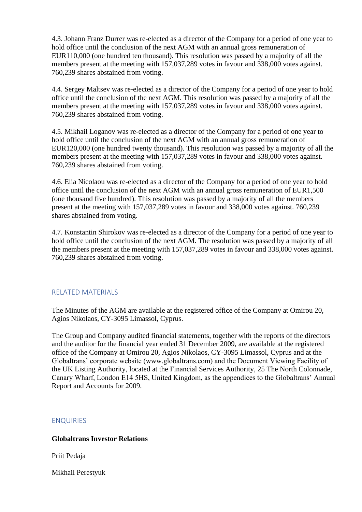4.3. Johann Franz Durrer was re-elected as a director of the Company for a period of one year to hold office until the conclusion of the next AGM with an annual gross remuneration of EUR110,000 (one hundred ten thousand). This resolution was passed by a majority of all the members present at the meeting with 157,037,289 votes in favour and 338,000 votes against. 760,239 shares abstained from voting.

4.4. Sergey Maltsev was re-elected as a director of the Company for a period of one year to hold office until the conclusion of the next AGM. This resolution was passed by a majority of all the members present at the meeting with 157,037,289 votes in favour and 338,000 votes against. 760,239 shares abstained from voting.

4.5. Mikhail Loganov was re-elected as a director of the Company for a period of one year to hold office until the conclusion of the next AGM with an annual gross remuneration of EUR120,000 (one hundred twenty thousand). This resolution was passed by a majority of all the members present at the meeting with 157,037,289 votes in favour and 338,000 votes against. 760,239 shares abstained from voting.

4.6. Elia Nicolaou was re-elected as a director of the Company for a period of one year to hold office until the conclusion of the next AGM with an annual gross remuneration of EUR1,500 (one thousand five hundred). This resolution was passed by a majority of all the members present at the meeting with 157,037,289 votes in favour and 338,000 votes against. 760,239 shares abstained from voting.

4.7. Konstantin Shirokov was re-elected as a director of the Company for a period of one year to hold office until the conclusion of the next AGM. The resolution was passed by a majority of all the members present at the meeting with 157,037,289 votes in favour and 338,000 votes against. 760,239 shares abstained from voting.

## RELATED MATERIALS

The Minutes of the AGM are available at the registered office of the Company at Omirou 20, Agios Nikolaos, CY-3095 Limassol, Cyprus.

The Group and Company audited financial statements, together with the reports of the directors and the auditor for the financial year ended 31 December 2009, are available at the registered office of the Company at Omirou 20, Agios Nikolaos, CY-3095 Limassol, Cyprus and at the Globaltrans' corporate website (www.globaltrans.com) and the Document Viewing Facility of the UK Listing Authority, located at the Financial Services Authority, 25 The North Colonnade, Canary Wharf, London E14 5HS, United Kingdom, as the appendices to the Globaltrans' Annual Report and Accounts for 2009.

## ENQUIRIES

## **Globaltrans Investor Relations**

Priit Pedaja

Mikhail Perestyuk